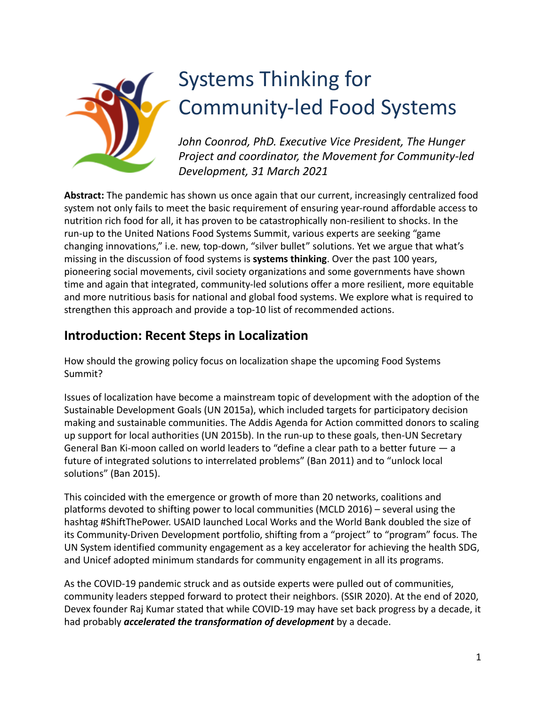

# Systems Thinking for Community-led Food Systems

*John Coonrod, PhD. Executive Vice President, The Hunger Project and coordinator, the Movement for Community-led Development, 31 March 2021*

**Abstract:** The pandemic has shown us once again that our current, increasingly centralized food system not only fails to meet the basic requirement of ensuring year-round affordable access to nutrition rich food for all, it has proven to be catastrophically non-resilient to shocks. In the run-up to the United Nations Food Systems Summit, various experts are seeking "game changing innovations," i.e. new, top-down, "silver bullet" solutions. Yet we argue that what's missing in the discussion of food systems is **systems thinking**. Over the past 100 years, pioneering social movements, civil society organizations and some governments have shown time and again that integrated, community-led solutions offer a more resilient, more equitable and more nutritious basis for national and global food systems. We explore what is required to strengthen this approach and provide a top-10 list of recommended actions.

#### **Introduction: Recent Steps in Localization**

How should the growing policy focus on localization shape the upcoming Food Systems Summit?

Issues of localization have become a mainstream topic of development with the adoption of the Sustainable Development Goals (UN 2015a), which included targets for participatory decision making and sustainable communities. The Addis Agenda for Action committed donors to scaling up support for local authorities (UN 2015b). In the run-up to these goals, then-UN Secretary General Ban Ki-moon called on world leaders to "define a clear path to a better future — a future of integrated solutions to interrelated problems" (Ban 2011) and to "unlock local solutions" (Ban 2015).

This coincided with the emergence or growth of more than 20 networks, coalitions and platforms devoted to shifting power to local communities (MCLD 2016) – several using the hashtag #ShiftThePower. USAID launched Local Works and the World Bank doubled the size of its Community-Driven Development portfolio, shifting from a "project" to "program" focus. The UN System identified community engagement as a key accelerator for achieving the health SDG, and Unicef adopted minimum standards for community engagement in all its programs.

As the COVID-19 pandemic struck and as outside experts were pulled out of communities, community leaders stepped forward to protect their neighbors. (SSIR 2020). At the end of 2020, Devex founder Raj Kumar stated that while COVID-19 may have set back progress by a decade, it had probably *accelerated the transformation of development* by a decade.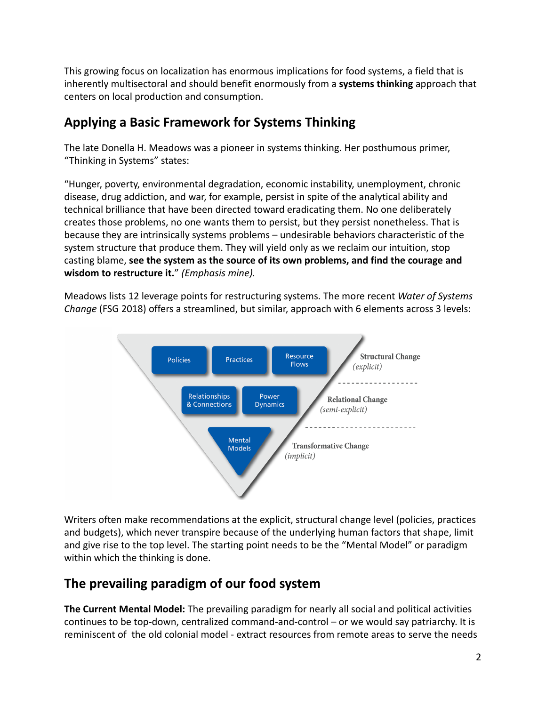This growing focus on localization has enormous implications for food systems, a field that is inherently multisectoral and should benefit enormously from a **systems thinking** approach that centers on local production and consumption.

# **Applying a Basic Framework for Systems Thinking**

The late Donella H. Meadows was a pioneer in systems thinking. Her posthumous primer, "Thinking in Systems" states:

"Hunger, poverty, environmental degradation, economic instability, unemployment, chronic disease, drug addiction, and war, for example, persist in spite of the analytical ability and technical brilliance that have been directed toward eradicating them. No one deliberately creates those problems, no one wants them to persist, but they persist nonetheless. That is because they are intrinsically systems problems – undesirable behaviors characteristic of the system structure that produce them. They will yield only as we reclaim our intuition, stop casting blame, **see the system as the source of its own problems, and find the courage and wisdom to restructure it.**" *(Emphasis mine).*

Meadows lists 12 leverage points for restructuring systems. The more recent *Water of Systems Change* (FSG 2018) offers a streamlined, but similar, approach with 6 elements across 3 levels:



Writers often make recommendations at the explicit, structural change level (policies, practices and budgets), which never transpire because of the underlying human factors that shape, limit and give rise to the top level. The starting point needs to be the "Mental Model" or paradigm within which the thinking is done.

# **The prevailing paradigm of our food system**

**The Current Mental Model:** The prevailing paradigm for nearly all social and political activities continues to be top-down, centralized command-and-control – or we would say patriarchy. It is reminiscent of the old colonial model - extract resources from remote areas to serve the needs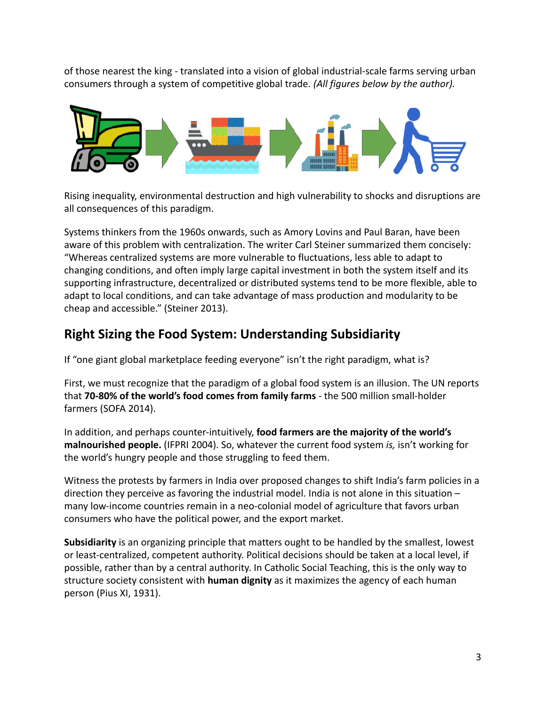of those nearest the king - translated into a vision of global industrial-scale farms serving urban consumers through a system of competitive global trade. *(All figures below by the author).*



Rising inequality, environmental destruction and high vulnerability to shocks and disruptions are all consequences of this paradigm.

Systems thinkers from the 1960s onwards, such as Amory Lovins and Paul Baran, have been aware of this problem with centralization. The writer Carl Steiner summarized them concisely: "Whereas centralized systems are more vulnerable to fluctuations, less able to adapt to changing conditions, and often imply large capital investment in both the system itself and its supporting infrastructure, decentralized or distributed systems tend to be more flexible, able to adapt to local conditions, and can take advantage of mass production and modularity to be cheap and accessible." (Steiner 2013).

### **Right Sizing the Food System: Understanding Subsidiarity**

If "one giant global marketplace feeding everyone" isn't the right paradigm, what is?

First, we must recognize that the paradigm of a global food system is an illusion. The UN reports that **70-80% of the world's food comes from family farms** - the 500 million small-holder farmers (SOFA 2014).

In addition, and perhaps counter-intuitively, **food farmers are the majority of the world's malnourished people.** (IFPRI 2004). So, whatever the current food system *is,* isn't working for the world's hungry people and those struggling to feed them.

Witness the protests by farmers in India over proposed changes to shift India's farm policies in a direction they perceive as favoring the industrial model. India is not alone in this situation – many low-income countries remain in a neo-colonial model of agriculture that favors urban consumers who have the political power, and the export market.

**Subsidiarity** is an organizing principle that matters ought to be handled by the smallest, lowest or least-centralized, competent authority. Political decisions should be taken at a local level, if possible, rather than by a central authority. In Catholic Social Teaching, this is the only way to structure society consistent with **human dignity** as it maximizes the agency of each human person (Pius XI, 1931).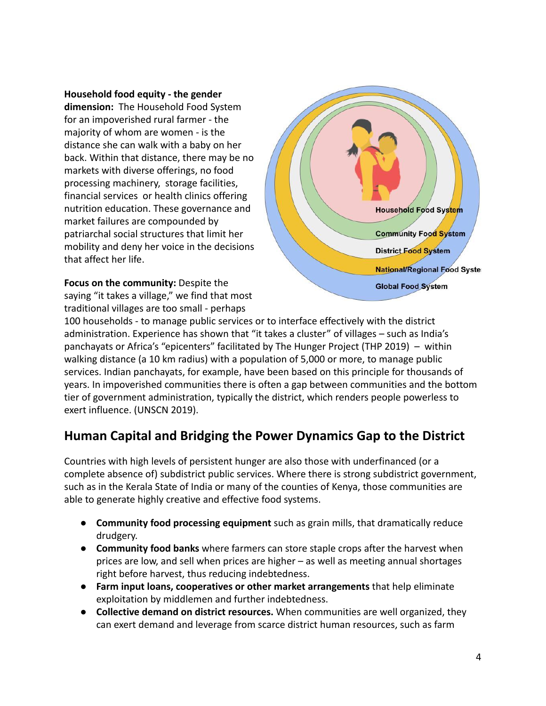**Household food equity - the gender**

**dimension:** The Household Food System for an impoverished rural farmer - the majority of whom are women - is the distance she can walk with a baby on her back. Within that distance, there may be no markets with diverse offerings, no food processing machinery, storage facilities, financial services or health clinics offering nutrition education. These governance and market failures are compounded by patriarchal social structures that limit her mobility and deny her voice in the decisions that affect her life.

**Focus on the community:** Despite the saying "it takes a village," we find that most traditional villages are too small - perhaps



100 households - to manage public services or to interface effectively with the district administration. Experience has shown that "it takes a cluster" of villages – such as India's panchayats or Africa's "epicenters" facilitated by The Hunger Project (THP 2019) – within walking distance (a 10 km radius) with a population of 5,000 or more, to manage public services. Indian panchayats, for example, have been based on this principle for thousands of years. In impoverished communities there is often a gap between communities and the bottom tier of government administration, typically the district, which renders people powerless to exert influence. (UNSCN 2019).

#### **Human Capital and Bridging the Power Dynamics Gap to the District**

Countries with high levels of persistent hunger are also those with underfinanced (or a complete absence of) subdistrict public services. Where there is strong subdistrict government, such as in the Kerala State of India or many of the counties of Kenya, those communities are able to generate highly creative and effective food systems.

- **● Community food processing equipment** such as grain mills, that dramatically reduce drudgery.
- **● Community food banks** where farmers can store staple crops after the harvest when prices are low, and sell when prices are higher – as well as meeting annual shortages right before harvest, thus reducing indebtedness.
- **● Farm input loans, cooperatives or other market arrangements** that help eliminate exploitation by middlemen and further indebtedness.
- **● Collective demand on district resources.** When communities are well organized, they can exert demand and leverage from scarce district human resources, such as farm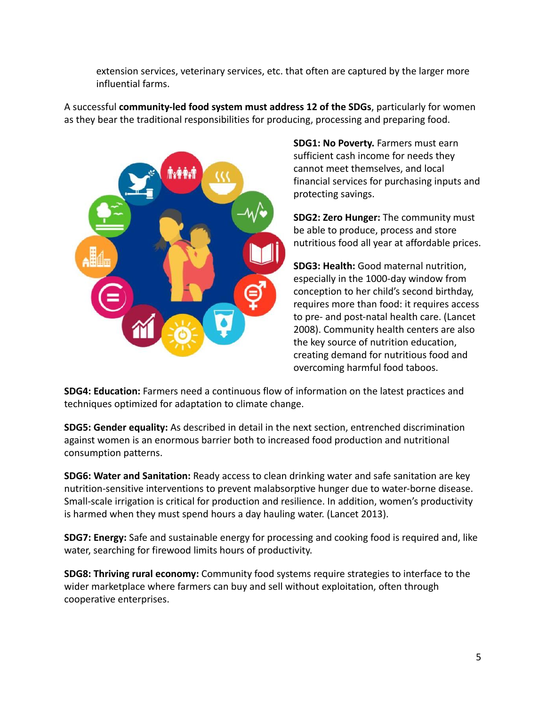extension services, veterinary services, etc. that often are captured by the larger more influential farms.

A successful **community-led food system must address 12 of the SDGs**, particularly for women as they bear the traditional responsibilities for producing, processing and preparing food.



**SDG1: No Poverty.** Farmers must earn sufficient cash income for needs they cannot meet themselves, and local financial services for purchasing inputs and protecting savings.

**SDG2: Zero Hunger:** The community must be able to produce, process and store nutritious food all year at affordable prices.

**SDG3: Health:** Good maternal nutrition, especially in the 1000-day window from conception to her child's second birthday, requires more than food: it requires access to pre- and post-natal health care. (Lancet 2008). Community health centers are also the key source of nutrition education, creating demand for nutritious food and overcoming harmful food taboos.

**SDG4: Education:** Farmers need a continuous flow of information on the latest practices and techniques optimized for adaptation to climate change.

**SDG5: Gender equality:** As described in detail in the next section, entrenched discrimination against women is an enormous barrier both to increased food production and nutritional consumption patterns.

**SDG6: Water and Sanitation:** Ready access to clean drinking water and safe sanitation are key nutrition-sensitive interventions to prevent malabsorptive hunger due to water-borne disease. Small-scale irrigation is critical for production and resilience. In addition, women's productivity is harmed when they must spend hours a day hauling water. (Lancet 2013).

**SDG7: Energy:** Safe and sustainable energy for processing and cooking food is required and, like water, searching for firewood limits hours of productivity.

**SDG8: Thriving rural economy:** Community food systems require strategies to interface to the wider marketplace where farmers can buy and sell without exploitation, often through cooperative enterprises.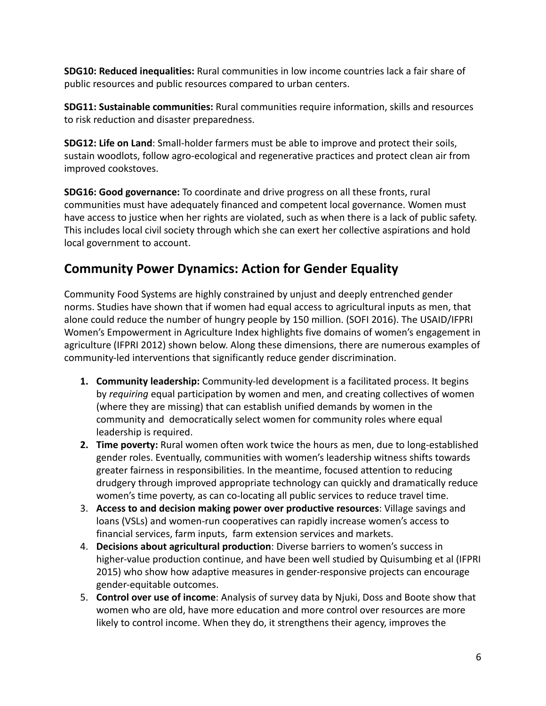**SDG10: Reduced inequalities:** Rural communities in low income countries lack a fair share of public resources and public resources compared to urban centers.

**SDG11: Sustainable communities:** Rural communities require information, skills and resources to risk reduction and disaster preparedness.

**SDG12: Life on Land**: Small-holder farmers must be able to improve and protect their soils, sustain woodlots, follow agro-ecological and regenerative practices and protect clean air from improved cookstoves.

**SDG16: Good governance:** To coordinate and drive progress on all these fronts, rural communities must have adequately financed and competent local governance. Women must have access to justice when her rights are violated, such as when there is a lack of public safety. This includes local civil society through which she can exert her collective aspirations and hold local government to account.

# **Community Power Dynamics: Action for Gender Equality**

Community Food Systems are highly constrained by unjust and deeply entrenched gender norms. Studies have shown that if women had equal access to agricultural inputs as men, that alone could reduce the number of hungry people by 150 million. (SOFI 2016). The USAID/IFPRI Women's Empowerment in Agriculture Index highlights five domains of women's engagement in agriculture (IFPRI 2012) shown below. Along these dimensions, there are numerous examples of community-led interventions that significantly reduce gender discrimination.

- **1. Community leadership:** Community-led development is a facilitated process. It begins by *requiring* equal participation by women and men, and creating collectives of women (where they are missing) that can establish unified demands by women in the community and democratically select women for community roles where equal leadership is required.
- **2. Time poverty:** Rural women often work twice the hours as men, due to long-established gender roles. Eventually, communities with women's leadership witness shifts towards greater fairness in responsibilities. In the meantime, focused attention to reducing drudgery through improved appropriate technology can quickly and dramatically reduce women's time poverty, as can co-locating all public services to reduce travel time.
- 3. **Access to and decision making power over productive resources**: Village savings and loans (VSLs) and women-run cooperatives can rapidly increase women's access to financial services, farm inputs, farm extension services and markets.
- 4. **Decisions about agricultural production**: Diverse barriers to women's success in higher-value production continue, and have been well studied by Quisumbing et al (IFPRI 2015) who show how adaptive measures in gender-responsive projects can encourage gender-equitable outcomes.
- 5. **Control over use of income**: Analysis of survey data by Njuki, Doss and Boote show that women who are old, have more education and more control over resources are more likely to control income. When they do, it strengthens their agency, improves the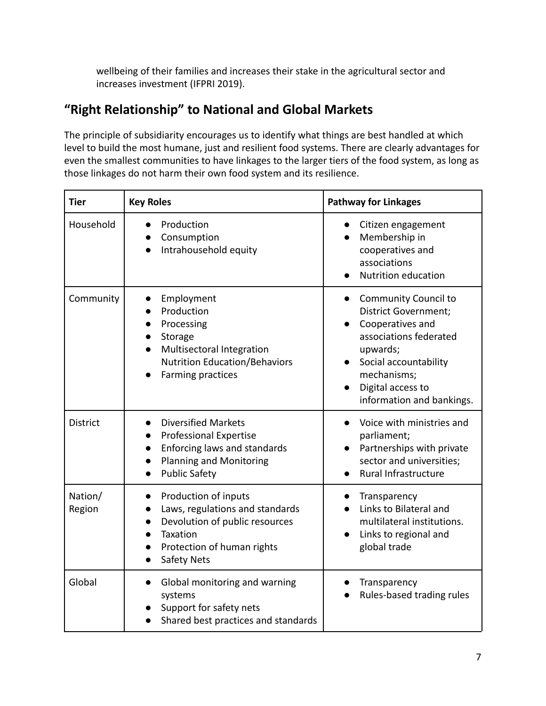wellbeing of their families and increases their stake in the agricultural sector and increases investment (IFPRI 2019).

# **"Right Relationship" to National and Global Markets**

The principle of subsidiarity encourages us to identify what things are best handled at which level to build the most humane, just and resilient food systems. There are clearly advantages for even the smallest communities to have linkages to the larger tiers of the food system, as long as those linkages do not harm their own food system and its resilience.

| <b>Tier</b>       | <b>Key Roles</b>                                                                                                                                                       | <b>Pathway for Linkages</b>                                                                                                                                                                                                 |
|-------------------|------------------------------------------------------------------------------------------------------------------------------------------------------------------------|-----------------------------------------------------------------------------------------------------------------------------------------------------------------------------------------------------------------------------|
| Household         | Production<br>Consumption<br>Intrahousehold equity                                                                                                                     | Citizen engagement<br>Membership in<br>cooperatives and<br>associations<br>Nutrition education                                                                                                                              |
| Community         | Employment<br>Production<br>Processing<br>Storage<br>Multisectoral Integration<br><b>Nutrition Education/Behaviors</b><br>Farming practices                            | <b>Community Council to</b><br>$\bullet$<br><b>District Government;</b><br>Cooperatives and<br>associations federated<br>upwards;<br>Social accountability<br>mechanisms;<br>Digital access to<br>information and bankings. |
| <b>District</b>   | <b>Diversified Markets</b><br><b>Professional Expertise</b><br>Enforcing laws and standards<br>$\bullet$<br><b>Planning and Monitoring</b><br><b>Public Safety</b>     | Voice with ministries and<br>parliament;<br>Partnerships with private<br>sector and universities;<br>Rural Infrastructure                                                                                                   |
| Nation/<br>Region | Production of inputs<br>Laws, regulations and standards<br>Devolution of public resources<br>Taxation<br>Protection of human rights<br>$\bullet$<br><b>Safety Nets</b> | Transparency<br>Links to Bilateral and<br>multilateral institutions.<br>Links to regional and<br>global trade                                                                                                               |
| Global            | Global monitoring and warning<br>$\bullet$<br>systems<br>Support for safety nets<br>Shared best practices and standards                                                | Transparency<br>Rules-based trading rules                                                                                                                                                                                   |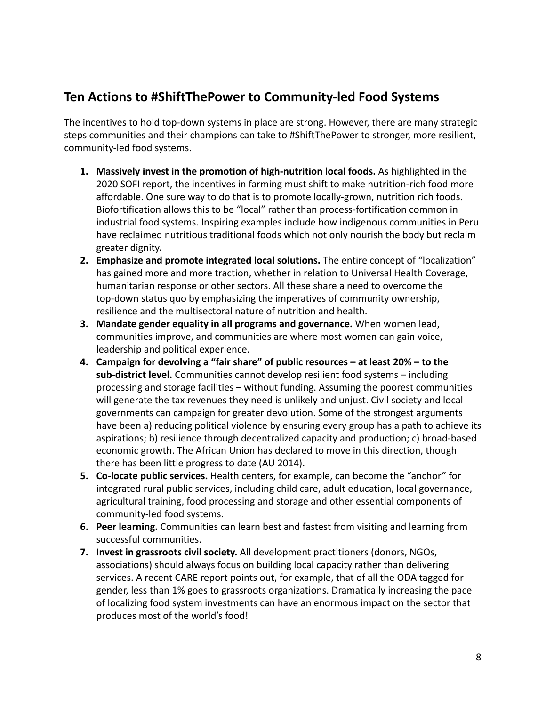#### **Ten Actions to #ShiftThePower to Community-led Food Systems**

The incentives to hold top-down systems in place are strong. However, there are many strategic steps communities and their champions can take to #ShiftThePower to stronger, more resilient, community-led food systems.

- **1. Massively invest in the promotion of high-nutrition local foods.** As highlighted in the 2020 SOFI report, the incentives in farming must shift to make nutrition-rich food more affordable. One sure way to do that is to promote locally-grown, nutrition rich foods. Biofortification allows this to be "local" rather than process-fortification common in industrial food systems. Inspiring examples include how indigenous communities in Peru have reclaimed nutritious traditional foods which not only nourish the body but reclaim greater dignity.
- **2. Emphasize and promote integrated local solutions.** The entire concept of "localization" has gained more and more traction, whether in relation to Universal Health Coverage, humanitarian response or other sectors. All these share a need to overcome the top-down status quo by emphasizing the imperatives of community ownership, resilience and the multisectoral nature of nutrition and health.
- **3. Mandate gender equality in all programs and governance.** When women lead, communities improve, and communities are where most women can gain voice, leadership and political experience.
- **4. Campaign for devolving a "fair share" of public resources at least 20% to the sub-district level.** Communities cannot develop resilient food systems – including processing and storage facilities – without funding. Assuming the poorest communities will generate the tax revenues they need is unlikely and unjust. Civil society and local governments can campaign for greater devolution. Some of the strongest arguments have been a) reducing political violence by ensuring every group has a path to achieve its aspirations; b) resilience through decentralized capacity and production; c) broad-based economic growth. The African Union has declared to move in this direction, though there has been little progress to date (AU 2014).
- **5. Co-locate public services.** Health centers, for example, can become the "anchor" for integrated rural public services, including child care, adult education, local governance, agricultural training, food processing and storage and other essential components of community-led food systems.
- **6. Peer learning.** Communities can learn best and fastest from visiting and learning from successful communities.
- **7. Invest in grassroots civil society.** All development practitioners (donors, NGOs, associations) should always focus on building local capacity rather than delivering services. A recent CARE report points out, for example, that of all the ODA tagged for gender, less than 1% goes to grassroots organizations. Dramatically increasing the pace of localizing food system investments can have an enormous impact on the sector that produces most of the world's food!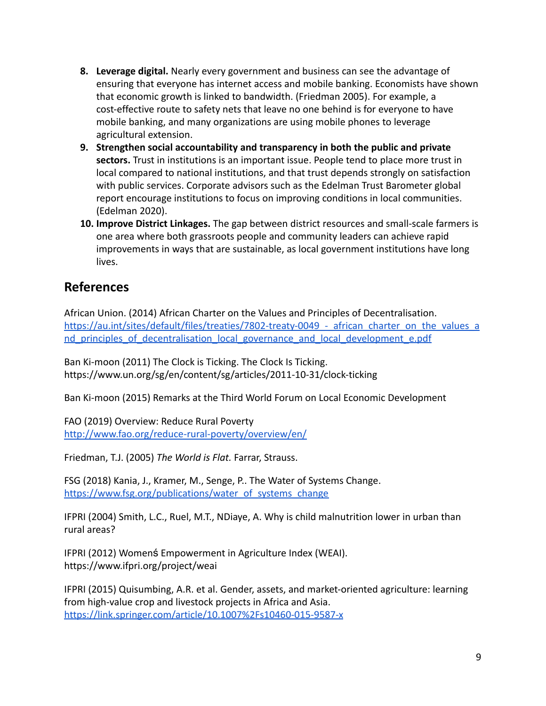- **8. Leverage digital.** Nearly every government and business can see the advantage of ensuring that everyone has internet access and mobile banking. Economists have shown that economic growth is linked to bandwidth. (Friedman 2005). For example, a cost-effective route to safety nets that leave no one behind is for everyone to have mobile banking, and many organizations are using mobile phones to leverage agricultural extension.
- **9. Strengthen social accountability and transparency in both the public and private sectors.** Trust in institutions is an important issue. People tend to place more trust in local compared to national institutions, and that trust depends strongly on satisfaction with public services. Corporate advisors such as the Edelman Trust Barometer global report encourage institutions to focus on improving conditions in local communities. (Edelman 2020).
- **10. Improve District Linkages.** The gap between district resources and small-scale farmers is one area where both grassroots people and community leaders can achieve rapid improvements in ways that are sustainable, as local government institutions have long lives.

#### **References**

African Union. (2014) African Charter on the Values and Principles of Decentralisation. https://au.int/sites/default/files/treaties/7802-treaty-0049 - african charter on the values a nd principles of decentralisation local governance and local development e.pdf

Ban Ki-moon (2011) The Clock is Ticking. The Clock Is Ticking. https://www.un.org/sg/en/content/sg/articles/2011-10-31/clock-ticking

Ban Ki-moon (2015) Remarks at the Third World Forum on Local Economic Development

FAO (2019) Overview: Reduce Rural Poverty <http://www.fao.org/reduce-rural-poverty/overview/en/>

Friedman, T.J. (2005) *The World is Flat.* Farrar, Strauss.

FSG (2018) Kania, J., Kramer, M., Senge, P.. The Water of Systems Change. [https://www.fsg.org/publications/water\\_of\\_systems\\_change](https://www.fsg.org/publications/water_of_systems_change)

IFPRI (2004) Smith, L.C., Ruel, M.T., NDiaye, A. Why is child malnutrition lower in urban than rural areas?

IFPRI (2012) Womenś Empowerment in Agriculture Index (WEAI). https://www.ifpri.org/project/weai

IFPRI (2015) Quisumbing, A.R. et al. Gender, assets, and market-oriented agriculture: learning from high-value crop and livestock projects in Africa and Asia. <https://link.springer.com/article/10.1007%2Fs10460-015-9587-x>